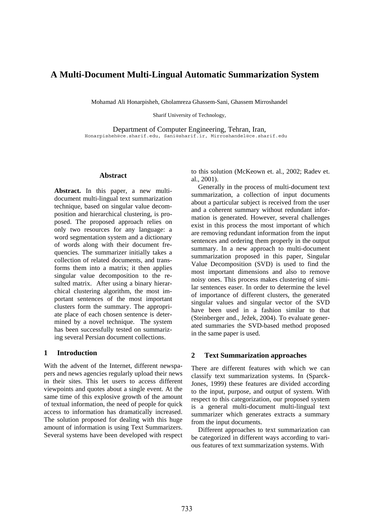# **A Multi-Document Multi-Lingual Automatic Summarization System**

Mohamad Ali Honarpisheh, Gholamreza Ghassem-Sani, Ghassem Mirroshandel

Sharif University of Technology,

Department of Computer Engineering, Tehran, Iran, Honarpisheh@ce.sharif.edu, Sani@sharif.ir, Mirroshandel@ce.sharif.edu

#### **Abstract**

**Abstract.** In this paper, a new multidocument multi-lingual text summarization technique, based on singular value decomposition and hierarchical clustering, is proposed. The proposed approach relies on only two resources for any language: a word segmentation system and a dictionary of words along with their document frequencies. The summarizer initially takes a collection of related documents, and transforms them into a matrix; it then applies singular value decomposition to the resulted matrix. After using a binary hierarchical clustering algorithm, the most important sentences of the most important clusters form the summary. The appropriate place of each chosen sentence is determined by a novel technique. The system has been successfully tested on summarizing several Persian document collections.

## **1 Introduction**

With the advent of the Internet, different newspapers and news agencies regularly upload their news in their sites. This let users to access different viewpoints and quotes about a single event. At the same time of this explosive growth of the amount of textual information, the need of people for quick access to information has dramatically increased. The solution proposed for dealing with this huge amount of information is using Text Summarizers. Several systems have been developed with respect to this solution (McKeown et. al., 2002; Radev et. al., 2001).

Generally in the process of multi-document text summarization, a collection of input documents about a particular subject is received from the user and a coherent summary without redundant information is generated. However, several challenges exist in this process the most important of which are removing redundant information from the input sentences and ordering them properly in the output summary. In a new approach to multi-document summarization proposed in this paper, Singular Value Decomposition (SVD) is used to find the most important dimensions and also to remove noisy ones. This process makes clustering of similar sentences easer. In order to determine the level of importance of different clusters, the generated singular values and singular vector of the SVD have been used in a fashion similar to that (Steinberger and., Ježek, 2004). To evaluate generated summaries the SVD-based method proposed in the same paper is used.

## **2 Text Summarization approaches**

There are different features with which we can classify text summarization systems. In (Sparck-Jones, 1999) these features are divided according to the input, purpose, and output of system. With respect to this categorization, our proposed system is a general multi-document multi-lingual text summarizer which generates extracts a summary from the input documents.

Different approaches to text summarization can be categorized in different ways according to various features of text summarization systems. With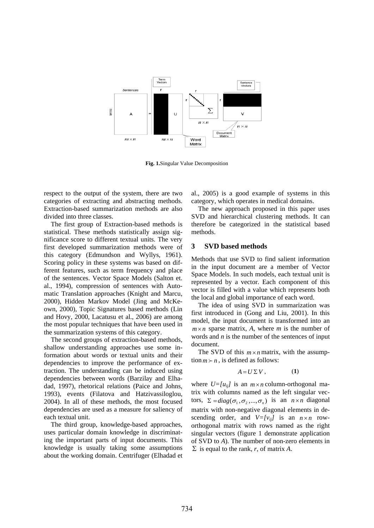

**Fig. 1.**Singular Value Decomposition

respect to the output of the system, there are two categories of extracting and abstracting methods. Extraction-based summarization methods are also divided into three classes.

The first group of Extraction-based methods is statistical. These methods statistically assign significance score to different textual units. The very first developed summarization methods were of this category (Edmundson and Wyllys, 1961). Scoring policy in these systems was based on different features, such as term frequency and place of the sentences. Vector Space Models (Salton et. al., 1994), compression of sentences with Automatic Translation approaches (Knight and Marcu, 2000), Hidden Markov Model (Jing and McKeown, 2000), Topic Signatures based methods (Lin and Hovy, 2000, Lacatusu et al., 2006) are among the most popular techniques that have been used in the summarization systems of this category.

The second groups of extraction-based methods, shallow understanding approaches use some information about words or textual units and their dependencies to improve the performance of extraction. The understanding can be induced using dependencies between words (Barzilay and Elhadad, 1997), rhetorical relations (Paice and Johns, 1993), events (Filatova and Hatzivassiloglou, 2004). In all of these methods, the most focused dependencies are used as a measure for saliency of each textual unit.

The third group, knowledge-based approaches, uses particular domain knowledge in discriminating the important parts of input documents. This knowledge is usually taking some assumptions about the working domain. Centrifuger (Elhadad et al., 2005) is a good example of systems in this category, which operates in medical domains.

The new approach proposed in this paper uses SVD and hierarchical clustering methods. It can therefore be categorized in the statistical based methods.

#### **3 SVD based methods**

Methods that use SVD to find salient information in the input document are a member of Vector Space Models. In such models, each textual unit is represented by a vector. Each component of this vector is filled with a value which represents both the local and global importance of each word.

The idea of using SVD in summarization was first introduced in (Gong and Liu, 2001). In this model, the input document is transformed into an  $m \times n$  sparse matrix, A, where *m* is the number of words and *n* is the number of the sentences of input document.

The SVD of this  $m \times n$  matrix, with the assumption  $m \succ n$ , is defined as follows:

$$
A = U \Sigma V, \qquad (1)
$$

where  $U=[u_{ij}]$  is an  $m \times n$  column-orthogonal matrix with columns named as the left singular vectors,  $\Sigma = diag(\sigma_1, \sigma_2, ..., \sigma_n)$  is an  $n \times n$  diagonal matrix with non-negative diagonal elements in descending order, and  $V=[v_{ij}]$  is an  $n \times n$  roworthogonal matrix with rows named as the right singular vectors (figure 1 demonstrate application of SVD to *A*). The number of non-zero elements in Σ is equal to the rank, *r*, of matrix *A*.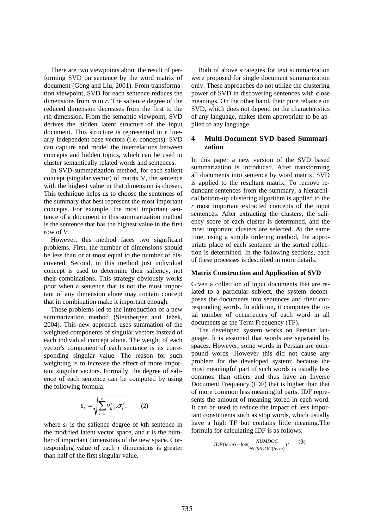There are two viewpoints about the result of performing SVD on sentence by the word matrix of document (Gong and Liu, 2001). From transformation viewpoint, SVD for each sentence reduces the dimensions from *m* to *r*. The salience degree of the reduced dimension decreases from the first to the *r*th dimension. From the semantic viewpoint, SVD derives the hidden latent structure of the input document. This structure is represented in *r* linearly independent base vectors (i.e. concepts). SVD can capture and model the interrelations between concepts and hidden topics, which can be used to cluster semantically related words and sentences.

In SVD-summarization method, for each salient concept (singular vector) of matrix V, the sentence with the highest value in that dimension is chosen. This technique helps us to choose the sentences of the summary that best represent the most important concepts. For example, the most important sentence of a document in this summarization method is the sentence that has the highest value in the first row of *V.* 

However, this method faces two significant problems. First, the number of dimensions should be less than or at most equal to the number of discovered. Second, in this method just individual concept is used to determine their saliency, not their combinations. This strategy obviously works poor when a sentence that is not the most important of any dimension alone may contain concept that in combination make it important enough.

These problems led to the introduction of a new summarization method (Steinberger and Ježek, 2004). This new approach uses summation of the weighted components of singular vectors instead of each individual concept alone. The weight of each vector's component of each sentence is its corresponding singular value. The reason for such weighting is to increase the effect of more important singular vectors. Formally, the degree of salience of each sentence can be computed by using the following formula:

$$
S_k = \sqrt{\sum_{i=1}^r v_{k,i}^2 \cdot \sigma_i^2}.
$$
 (2)

where  $s_k$  is the salience degree of  $k$ th sentence in the modified latent vector space, and *r* is the number of important dimensions of the new space. Corresponding value of each *r* dimensions is greater than half of the first singular value.

Both of above strategies for text summarization were proposed for single document summarization only. These approaches do not utilize the clustering power of SVD in discovering sentences with close meanings. On the other hand, their pure reliance on SVD, which does not depend on the characteristics of any language, makes them appropriate to be applied to any language.

## **4 Multi-Document SVD based Summarization**

In this paper a new version of the SVD based summarization is introduced. After transforming all documents into sentence by word matrix, SVD is applied to the resultant matrix. To remove redundant sentences from the summary, a hierarchical bottom-up clustering algorithm is applied to the *r* most important extracted concepts of the input sentences. After extracting the clusters, the saliency score of each cluster is determined, and the most important clusters are selected. At the same time, using a simple ordering method, the appropriate place of each sentence in the sorted collection is determined. In the following sections, each of these processes is described in more details.

#### **Matrix Construction and Application of SVD**

Given a collection of input documents that are related to a particular subject, the system decomposes the documents into sentences and their corresponding words. In addition, it computes the total number of occurrences of each word in all documents as the Term Frequency (TF).

The developed system works on Persian language. It is assumed that words are separated by spaces. However, some words in Persian are compound words .However this did not cause any problem for the developed system; because the most meaningful part of such words is usually less common than others and thus have an Inverse Document Frequency (IDF) that is higher than that of more common less meaningful parts. IDF represents the amount of meaning stored in each word. It can be used to reduce the impact of less important constituents such as stop words, which usually have a high TF but contains little meaning.The formula for calculating IDF is as follows:

$$
IDF(term) = \log(\frac{NUMDOC}{NUMDOC(term)})
$$
, (3)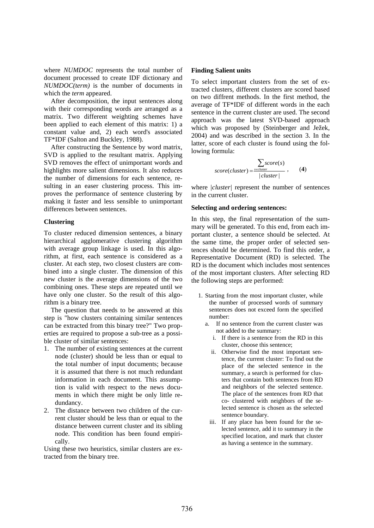where *NUMDOC* represents the total number of document processed to create IDF dictionary and *NUMDOC(term)* is the number of documents in which the *term* appeared.

After decomposition, the input sentences along with their corresponding words are arranged as a matrix. Two different weighting schemes have been applied to each element of this matrix: 1) a constant value and, 2) each word's associated TF\*IDF (Salton and Buckley, 1988).

After constructing the Sentence by word matrix, SVD is applied to the resultant matrix. Applying SVD removes the effect of unimportant words and highlights more salient dimensions. It also reduces the number of dimensions for each sentence, resulting in an easer clustering process. This improves the performance of sentence clustering by making it faster and less sensible to unimportant differences between sentences.

#### **Clustering**

To cluster reduced dimension sentences, a binary hierarchical agglomerative clustering algorithm with average group linkage is used. In this algorithm, at first, each sentence is considered as a cluster. At each step, two closest clusters are combined into a single cluster. The dimension of this new cluster is the average dimensions of the two combining ones. These steps are repeated until we have only one cluster. So the result of this algorithm is a binary tree.

The question that needs to be answered at this step is "how clusters containing similar sentences can be extracted from this binary tree?" Two properties are required to propose a sub-tree as a possible cluster of similar sentences:

- 1. The number of existing sentences at the current node (cluster) should be less than or equal to the total number of input documents; because it is assumed that there is not much redundant information in each document. This assumption is valid with respect to the news documents in which there might be only little redundancy.
- 2. The distance between two children of the current cluster should be less than or equal to the distance between current cluster and its sibling node. This condition has been found empirically.

Using these two heuristics, similar clusters are extracted from the binary tree.

## **Finding Salient units**

To select important clusters from the set of extracted clusters, different clusters are scored based on two diffrent methods. In the first method, the average of TF\*IDF of different words in the each sentence in the current cluster are used. The second approach was the latest SVD-based approach which was proposed by (Steinberger and Ježek, 2004) and was described in the section 3. In the latter, score of each cluster is found using the following formula:

$$
score(cluster) = \frac{\sum_{\text{secluster}} score(s)}{|cluster|}, \qquad (4)
$$

where *|cluster|* represent the number of sentences in the current cluster.

## **Selecting and ordering sentences:**

In this step, the final representation of the summary will be generated. To this end, from each important cluster, a sentence should be selected. At the same time, the proper order of selected sentences should be determined. To find this order, a Representative Document (RD) is selected. The RD is the document which includes most sentences of the most important clusters. After selecting RD the following steps are performed:

- 1. Starting from the most important cluster, while the number of processed words of summary sentences does not exceed form the specified number:
	- a. If no sentence from the current cluster was not added to the summary:
		- i. If there is a sentence from the RD in this cluster, choose this sentence;
		- ii. Otherwise find the most important sentence, the current cluster: To find out the place of the selected sentence in the summary, a search is performed for clusters that contain both sentences from RD and neighbors of the selected sentence. The place of the sentences from RD that co- clustered with neighbors of the selected sentence is chosen as the selected sentence boundary.
		- iii. If any place has been found for the selected sentence, add it to summary in the specified location, and mark that cluster as having a sentence in the summary.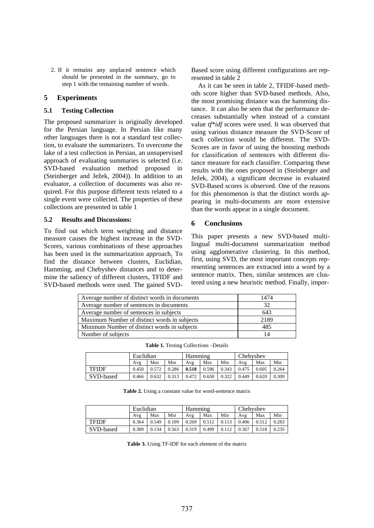2. If it remains any unplaced sentence which should be presented in the summary, go to step 1 with the remaining number of words.

## **5 Experiments**

## **5.1 Testing Collection**

The proposed summarizer is originally developed for the Persian language. In Persian like many other languages there is not a standard test collection, to evaluate the summarizers. To overcome the lake of a test collection in Persian, an unsupervised approach of evaluating summaries is selected (i.e. SVD-based evaluation method proposed in (Steinberger and Ježek, 2004)). In addition to an evaluator, a collection of documents was also required. For this purpose different texts related to a single event were collected. The properties of these collections are presented in table 1

## **5.2 Results and Discussions:**

To find out which term weighting and distance measure causes the highest increase in the SVD-Scores, various combinations of these approaches has been used in the summarization approach. To find the distance between clusters, Euclidian, Hamming, and Chebyshev distances and to determine the saliency of different clusters, TFIDF and SVD-based methods were used. The gained SVD- Based score using different configurations are represented in table 2

As it can be seen in table 2, TFIDF-based methods score higher than SVD-based methods. Also, the most promising distance was the hamming distance. It can also be seen that the performance decreases substantially when instead of a constant value *tf\*idf* scores were used. It was observed that using various distance measure the SVD-Score of each collection would be different. The SVD-Scores are in favor of using the boosting methods for classification of sentences with different distance measure for each classifier. Comparing these results with the ones proposed in (Steinberger and Ježek, 2004), a significant decrease in evaluated SVD-Based scores is observed. One of the reasons for this phenomenon is that the distinct words appearing in multi-documents are more extensive than the words appear in a single document.

## **6 Conclusions**

This paper presents a new SVD-based multilingual multi-document summarization method using agglomerative clustering. In this method, first, using SVD, the most important concepts representing sentences are extracted into a word by a sentence matrix. Then, similar sentences are clustered using a new heuristic method. Finally, impor-

| Average number of distinct words in documents | 1474 |
|-----------------------------------------------|------|
| Average number of sentences in documents      | 32   |
| Average number of sentences in subjects       | 643  |
| Maximum Number of distinct words in subjects  | 2189 |
| Minimum Number of distinct words in subjects  | 485  |
| Number of subjects                            | 14   |

|              | Euclidian |       |       | Hamming |       |       | Chebyshev |       |       |
|--------------|-----------|-------|-------|---------|-------|-------|-----------|-------|-------|
|              | Avg       | Max   | Min   | Avg     | Max   | Min   | Avg       | Max   | Min   |
| <b>TFIDF</b> | 0.450     | 0.572 | 0.286 | 0.518   | 0.596 | 0.343 | 0.475     | 0.605 | 0.264 |
| SVD-based    | 0.466     | 0.632 | 0.313 | 0.472   | 0.650 | 0.322 | 0.449     | 0.620 | 0.309 |

**Table 1.** Testing Collections –Details

**Table 2.** Using a constant value for word-sentence matrix

|              | Euclidian |       |       | Hamming |       |       | Chebyshev |       |       |
|--------------|-----------|-------|-------|---------|-------|-------|-----------|-------|-------|
|              | Avg       | Max   | Min   | Avg     | Max   | Min   | Avg       | Max   | Min   |
| <b>TFIDF</b> | 0.364     | 0.549 | 0.109 | 0.269   | 0.512 | 0.113 | 0.406     | 0.512 | 0.283 |
| SVD-based    | 0.309     | 0.134 | 0.563 | 0.319   | 0.499 | 0.112 | 0.367     | 0.518 | 0.235 |

**Table 3.** Using TF-IDF for each element of the matrix